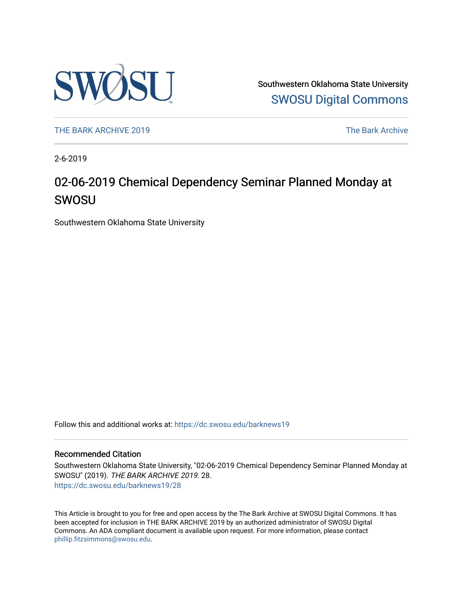

Southwestern Oklahoma State University [SWOSU Digital Commons](https://dc.swosu.edu/) 

[THE BARK ARCHIVE 2019](https://dc.swosu.edu/barknews19) The Bark Archive

2-6-2019

## 02-06-2019 Chemical Dependency Seminar Planned Monday at SWOSU

Southwestern Oklahoma State University

Follow this and additional works at: [https://dc.swosu.edu/barknews19](https://dc.swosu.edu/barknews19?utm_source=dc.swosu.edu%2Fbarknews19%2F28&utm_medium=PDF&utm_campaign=PDFCoverPages)

#### Recommended Citation

Southwestern Oklahoma State University, "02-06-2019 Chemical Dependency Seminar Planned Monday at SWOSU" (2019). THE BARK ARCHIVE 2019. 28. [https://dc.swosu.edu/barknews19/28](https://dc.swosu.edu/barknews19/28?utm_source=dc.swosu.edu%2Fbarknews19%2F28&utm_medium=PDF&utm_campaign=PDFCoverPages) 

This Article is brought to you for free and open access by the The Bark Archive at SWOSU Digital Commons. It has been accepted for inclusion in THE BARK ARCHIVE 2019 by an authorized administrator of SWOSU Digital Commons. An ADA compliant document is available upon request. For more information, please contact [phillip.fitzsimmons@swosu.edu](mailto:phillip.fitzsimmons@swosu.edu).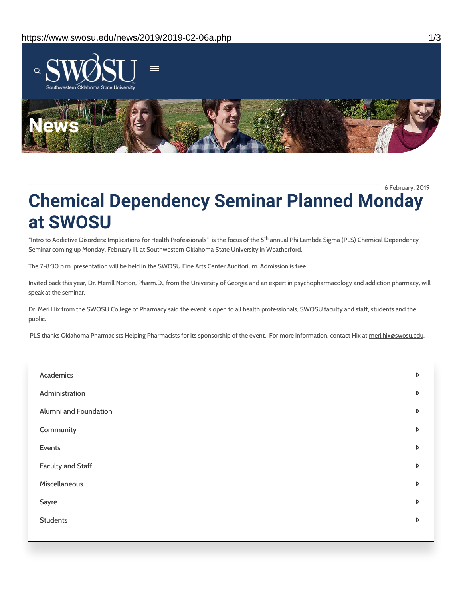

6 February, 2019

# **Chemical Dependency Seminar Planned Monday at SWOSU**

"Intro to Addictive Disorders: Implications for Health Professionals" is the focus of the 5<sup>th</sup> annual Phi Lambda Sigma (PLS) Chemical Dependency Seminar coming up Monday, February 11, at Southwestern Oklahoma State University in Weatherford.

The 7-8:30 p.m. presentation will be held in the SWOSU Fine Arts Center Auditorium. Admission is free.

Invited back this year, Dr. Merrill Norton, Pharm.D., from the University of Georgia and an expert in psychopharmacology and addiction pharmacy, will speak at the seminar.

Dr. Meri Hix from the SWOSU College of Pharmacy said the event is open to all health professionals, SWOSU faculty and staff, students and the public.

PLS thanks Oklahoma Pharmacists Helping Pharmacists for its sponsorship of the event. For more information, contact Hix at meri.hix@swosu.edu.

| Academics                | D |
|--------------------------|---|
| Administration           | D |
| Alumni and Foundation    | D |
| Community                | D |
| Events                   | D |
| <b>Faculty and Staff</b> | D |
| Miscellaneous            | D |
| Sayre                    | D |
| <b>Students</b>          | D |
|                          |   |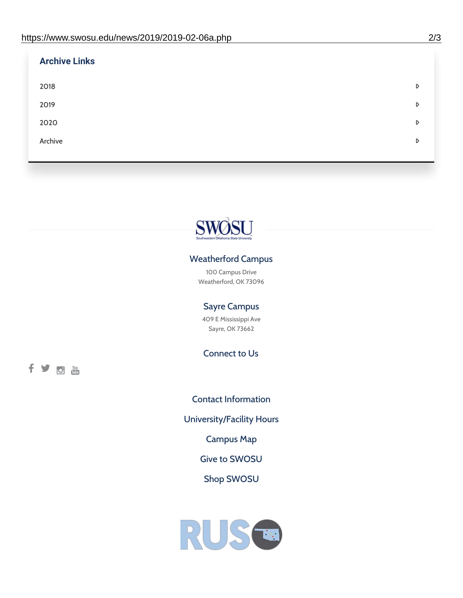| <b>Archive Links</b> |   |
|----------------------|---|
| 2018                 | D |
| 2019                 | D |
| 2020                 | D |
| Archive              | D |
|                      |   |



### Weatherford Campus

100 Campus Drive Weatherford, OK 73096

### Sayre Campus

409 E Mississippi Ave Sayre, OK 73662

Connect to Us

fyom

Contact [Information](https://www.swosu.edu/about/contact.php) [University/Facility](https://www.swosu.edu/about/operating-hours.php) Hours [Campus](https://map.concept3d.com/?id=768#!ct/10964,10214,10213,10212,10205,10204,10203,10202,10136,10129,10128,0,31226,10130,10201,10641,0) Map Give to [SWOSU](https://standingfirmly.com/donate) Shop [SWOSU](https://shopswosu.merchorders.com/)